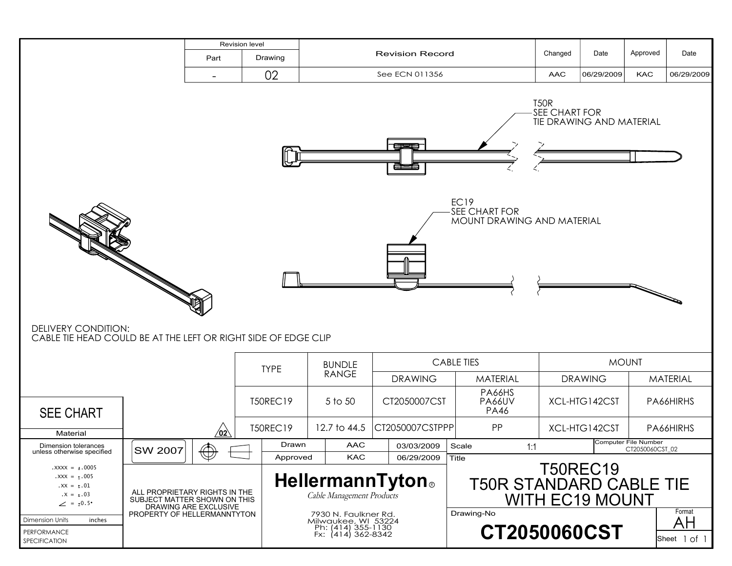